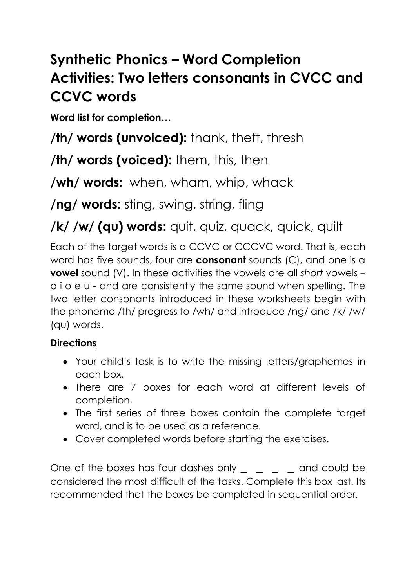## **Synthetic Phonics – Word Completion Activities: Two letters consonants in CVCC and CCVC words**

**Word list for completion…**

**/th/ words (unvoiced):** thank, theft, thresh

**/th/ words (voiced):** them, this, then

**/wh/ words:** when, wham, whip, whack

**/ng/ words:** sting, swing, string, fling

**/k/ /w/ (qu) words:** quit, quiz, quack, quick, quilt

Each of the target words is a CCVC or CCCVC word. That is, each word has five sounds, four are **consonant** sounds (C), and one is a **vowel** sound (V). In these activities the vowels are all *short* vowels – a i o e u - and are consistently the same sound when spelling. The two letter consonants introduced in these worksheets begin with the phoneme /th/ progress to /wh/ and introduce /ng/ and /k/ /w/ (qu) words.

## **Directions**

- Your child's task is to write the missing letters/graphemes in each box.
- There are 7 boxes for each word at different levels of completion.
- The first series of three boxes contain the complete target word, and is to be used as a reference.
- Cover completed words before starting the exercises.

One of the boxes has four dashes only **and could be** considered the most difficult of the tasks. Complete this box last. Its recommended that the boxes be completed in sequential order.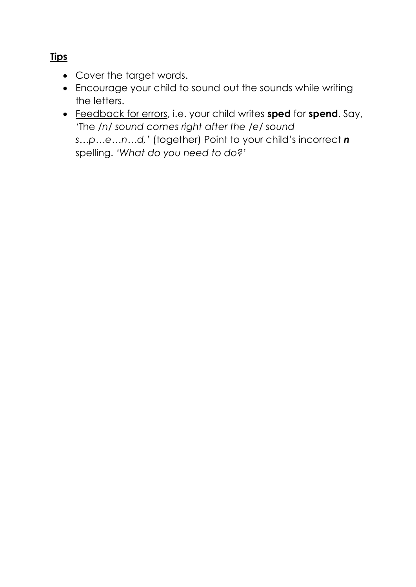- Cover the target words.
- Encourage your child to sound out the sounds while writing the letters.
- Feedback for errors, i.e. your child writes **sped** for **spend**. Say, 'The */n/ sound comes right after the /e/ sound s…p…e…n…d,'* (together) Point to your child's incorrect *n* spelling. *'What do you need to do?'*

## **Tips**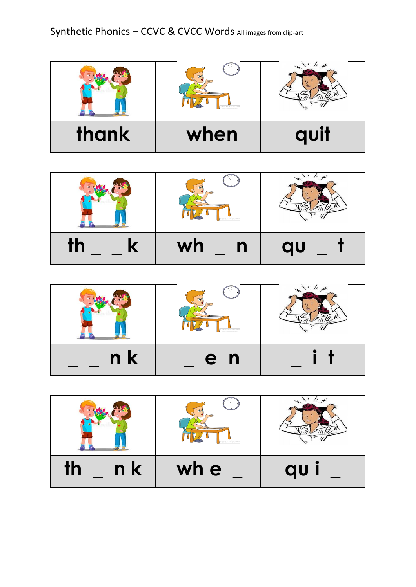| thank | when | quit |
|-------|------|------|

| dasroomclipart.com |    |
|--------------------|----|
| wh<br>$\mathbf n$  | au |

|                | lassroomclipart.com |  |
|----------------|---------------------|--|
| n <sub>k</sub> | e n                 |  |

| n k<br>TŊ | wh e | au |
|-----------|------|----|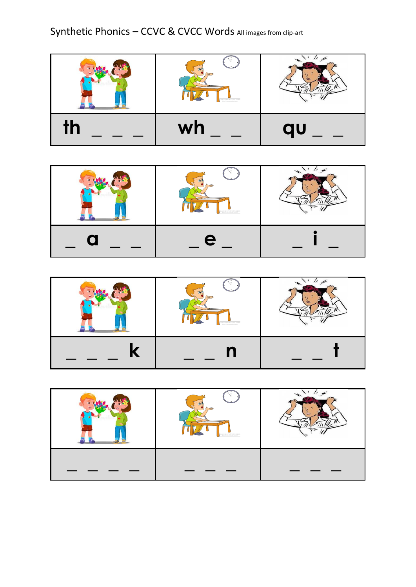Synthetic Phonics - CCVC & CVCC Words All images from clip-art





| lassroomclipart.com |  |
|---------------------|--|
|                     |  |

| lassroomclipart.com<br>htmm/silver |  |
|------------------------------------|--|
|                                    |  |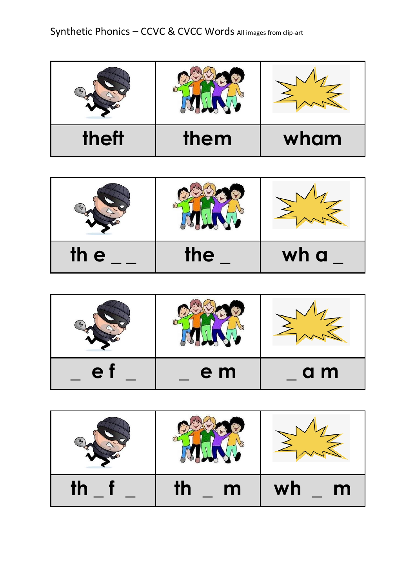| theft | them | wham |
|-------|------|------|

| th e | the | wh a |
|------|-----|------|

| e. | e m | a m |
|----|-----|-----|

| <u>IN</u> | m<br>τn | wh<br>m |
|-----------|---------|---------|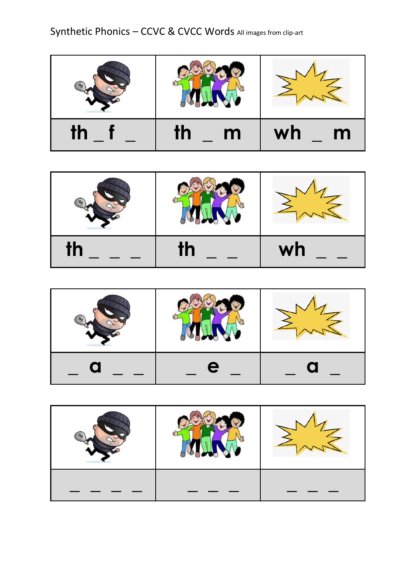Synthetic Phonics - CCVC & CVCC Words All images from clip-art

| <u>th</u><br>$\mathsf{m}$ | m<br>wh |
|---------------------------|---------|

| IΠ | wh |
|----|----|

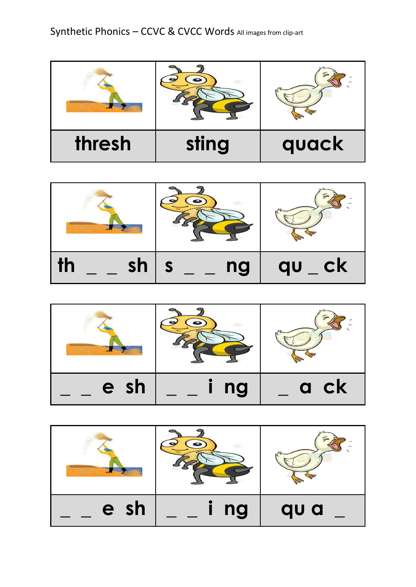

| sh<br><u>T</u> | ng | <b>CK</b><br>au |
|----------------|----|-----------------|

| 图    |    |      |
|------|----|------|
| e sh | ng | a ck |

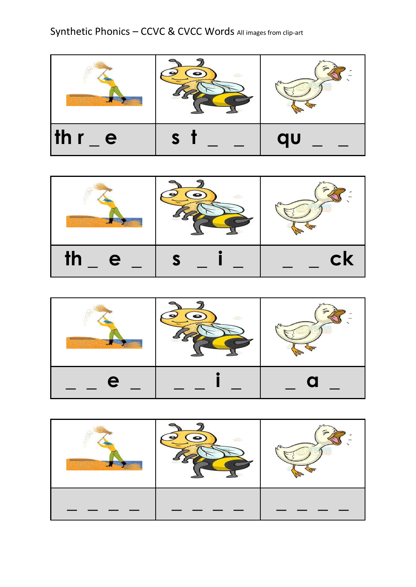

| <u>TŊ</u><br>e | $c_{\mathsf{K}}$ |
|----------------|------------------|



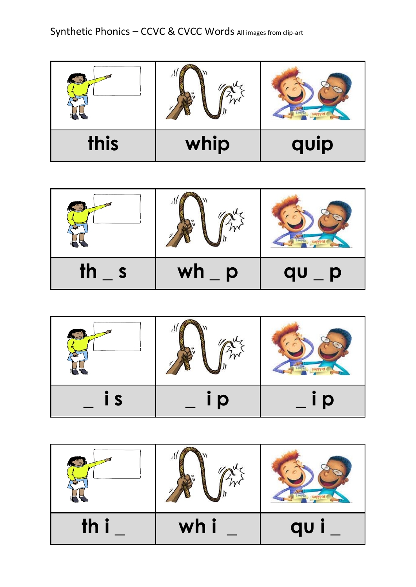| this | whip | quip |
|------|------|------|

| $\mathsf{th}$ | wh<br>Ō | au<br>D |
|---------------|---------|---------|

| C | D | D |
|---|---|---|

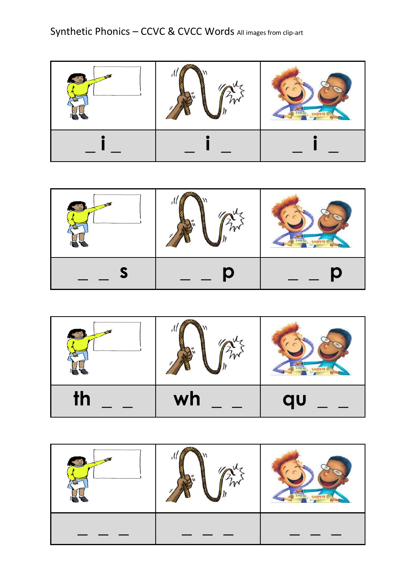|  | $\blacksquare$ |
|--|----------------|

| $\mathsf{th}$ | wh | qu |
|---------------|----|----|

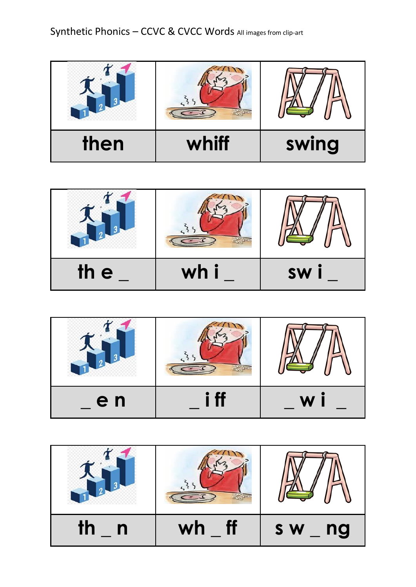

| th e | wh i | <b>SW</b> |
|------|------|-----------|



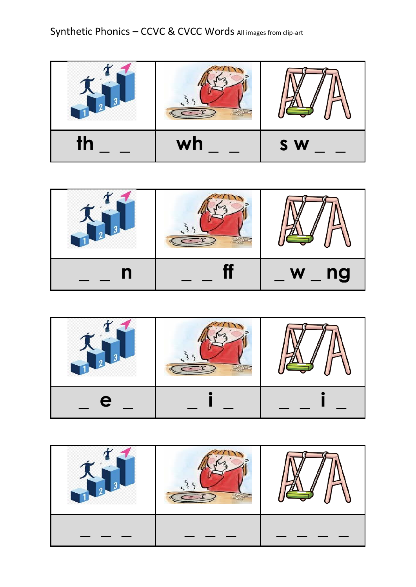





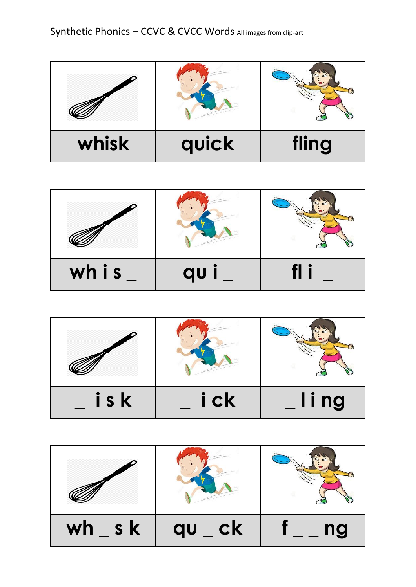| whisk | quick | fling |
|-------|-------|-------|

| whis | au |  |
|------|----|--|

| isk | i ck | ling |
|-----|------|------|

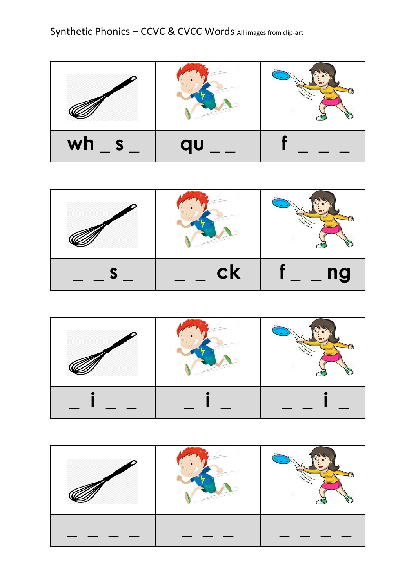| wh | qu |  |
|----|----|--|

| CK | ng |
|----|----|



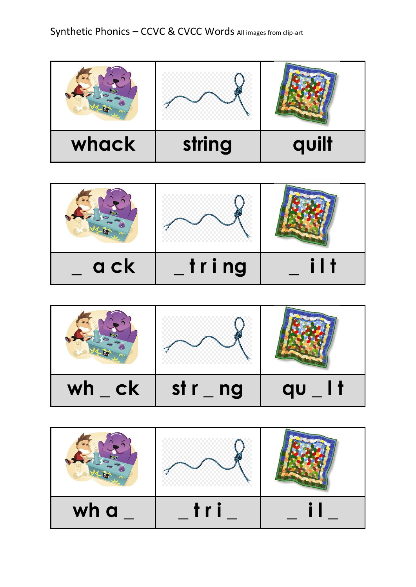

| a ck | tring |  |
|------|-------|--|

| <b>ck</b> | st r | 47 |
|-----------|------|----|
| wh        | ng   | au |